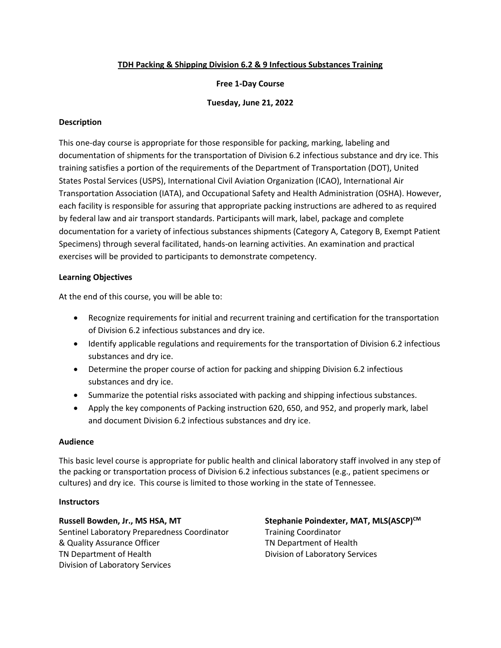## **TDH Packing & Shipping Division 6.2 & 9 Infectious Substances Training**

## **Free 1-Day Course**

## **Tuesday, June 21, 2022**

## **Description**

This one-day course is appropriate for those responsible for packing, marking, labeling and documentation of shipments for the transportation of Division 6.2 infectious substance and dry ice. This training satisfies a portion of the requirements of the Department of Transportation (DOT), United States Postal Services (USPS), International Civil Aviation Organization (ICAO), International Air Transportation Association (IATA), and Occupational Safety and Health Administration (OSHA). However, each facility is responsible for assuring that appropriate packing instructions are adhered to as required by federal law and air transport standards. Participants will mark, label, package and complete documentation for a variety of infectious substances shipments (Category A, Category B, Exempt Patient Specimens) through several facilitated, hands-on learning activities. An examination and practical exercises will be provided to participants to demonstrate competency.

## **Learning Objectives**

At the end of this course, you will be able to:

- Recognize requirements for initial and recurrent training and certification for the transportation of Division 6.2 infectious substances and dry ice.
- Identify applicable regulations and requirements for the transportation of Division 6.2 infectious substances and dry ice.
- Determine the proper course of action for packing and shipping Division 6.2 infectious substances and dry ice.
- Summarize the potential risks associated with packing and shipping infectious substances.
- Apply the key components of Packing instruction 620, 650, and 952, and properly mark, label and document Division 6.2 infectious substances and dry ice.

#### **Audience**

This basic level course is appropriate for public health and clinical laboratory staff involved in any step of the packing or transportation process of Division 6.2 infectious substances (e.g., patient specimens or cultures) and dry ice. This course is limited to those working in the state of Tennessee.

#### **Instructors**

**Russell Bowden, Jr., MS HSA, MT**  Sentinel Laboratory Preparedness Coordinator & Quality Assurance Officer TN Department of Health Division of Laboratory Services

Stephanie Poindexter, MAT, MLS(ASCP)<sup>CM</sup> Training Coordinator TN Department of Health Division of Laboratory Services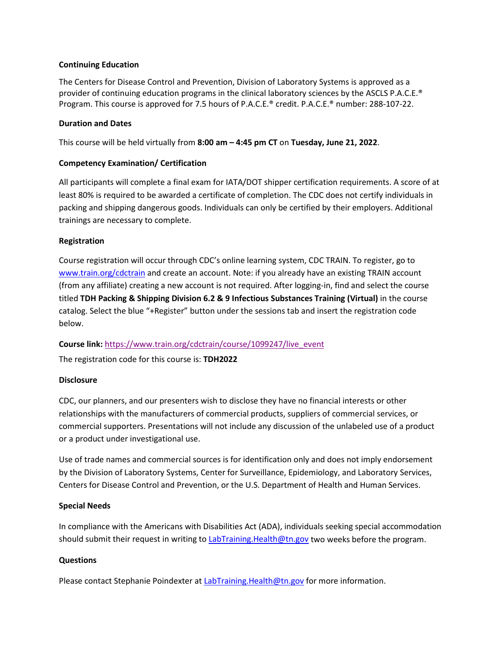## **Continuing Education**

The Centers for Disease Control and Prevention, Division of Laboratory Systems is approved as a provider of continuing education programs in the clinical laboratory sciences by the ASCLS P.A.C.E.® Program. This course is approved for 7.5 hours of P.A.C.E.® credit. P.A.C.E.® number: 288-107-22.

## **Duration and Dates**

This course will be held virtually from **8:00 am – 4:45 pm CT** on **Tuesday, June 21, 2022**.

## **Competency Examination/ Certification**

All participants will complete a final exam for IATA/DOT shipper certification requirements. A score of at least 80% is required to be awarded a certificate of completion. The CDC does not certify individuals in packing and shipping dangerous goods. Individuals can only be certified by their employers. Additional trainings are necessary to complete.

#### **Registration**

Course registration will occur through CDC's online learning system, CDC TRAIN. To register, go to [www.train.org/cdctrain](http://www.train.org/cdctrain) and create an account. Note: if you already have an existing TRAIN account (from any affiliate) creating a new account is not required. After logging-in, find and select the course titled **TDH Packing & Shipping Division 6.2 & 9 Infectious Substances Training (Virtual)** in the course catalog. Select the blue "+Register" button under the sessions tab and insert the registration code below.

**Course link:** [https://www.train.org/cdctrain/course/1099247/live\\_event](https://www.train.org/cdctrain/course/1099247/live_event)

The registration code for this course is: **TDH2022**

#### **Disclosure**

CDC, our planners, and our presenters wish to disclose they have no financial interests or other relationships with the manufacturers of commercial products, suppliers of commercial services, or commercial supporters. Presentations will not include any discussion of the unlabeled use of a product or a product under investigational use.

Use of trade names and commercial sources is for identification only and does not imply endorsement by the Division of Laboratory Systems, Center for Surveillance, Epidemiology, and Laboratory Services, Centers for Disease Control and Prevention, or the U.S. Department of Health and Human Services.

#### **Special Needs**

In compliance with the Americans with Disabilities Act (ADA), individuals seeking special accommodation should submit their request in writing to [LabTraining.Health@tn.gov](mailto:LabTraining.Health@tn.gov?subject=TDH%20Packing%20and%20Shipping%20Division%206.2%20%20&%209%20Infectious%20Substances%20Training) two weeks before the program.

#### **Questions**

Please contact Stephanie Poindexter at [LabTraining.Health@tn.gov](mailto:LabTraining.Health@tn.gov?subject=TDH%20Packing%20and%20Shipping%20Division%206.2%20&%209%20Infectious%20Substance%20Training) for more information.